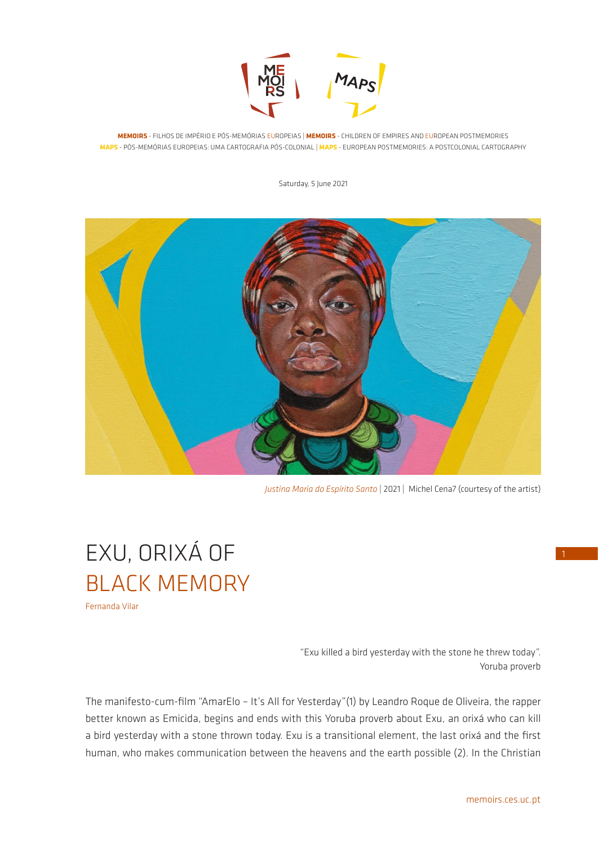

**MEMOIRS** - FILHOS DE IMPÉRIO E PÓS-MEMÓRIAS EUROPEIAS | **MEMOIRS** - CHILDREN OF EMPIRES AND EUROPEAN POSTMEMORIES **MAPS** - PÓS-MEMÓRIAS EUROPEIAS: UMA CARTOGRAFIA PÓS-COLONIAL | **MAPS** - EUROPEAN POSTMEMORIES: A POSTCOLONIAL CARTOGRAPHY

Saturday, 5 lune 2021



*Justina Maria do Espírito Santo* | 2021 | Michel Cena7 (courtesy of the artist)

## EXU, ORIXÁ OF BLACK MEMORY Fernanda Vilar

"Exu killed a bird yesterday with the stone he threw today". Yoruba proverb

The manifesto-cum-film "AmarElo – It's All for Yesterday"(1) by Leandro Roque de Oliveira, the rapper better known as Emicida, begins and ends with this Yoruba proverb about Exu, an orixá who can kill a bird yesterday with a stone thrown today. Exu is a transitional element, the last orixá and the first human, who makes communication between the heavens and the earth possible (2). In the Christian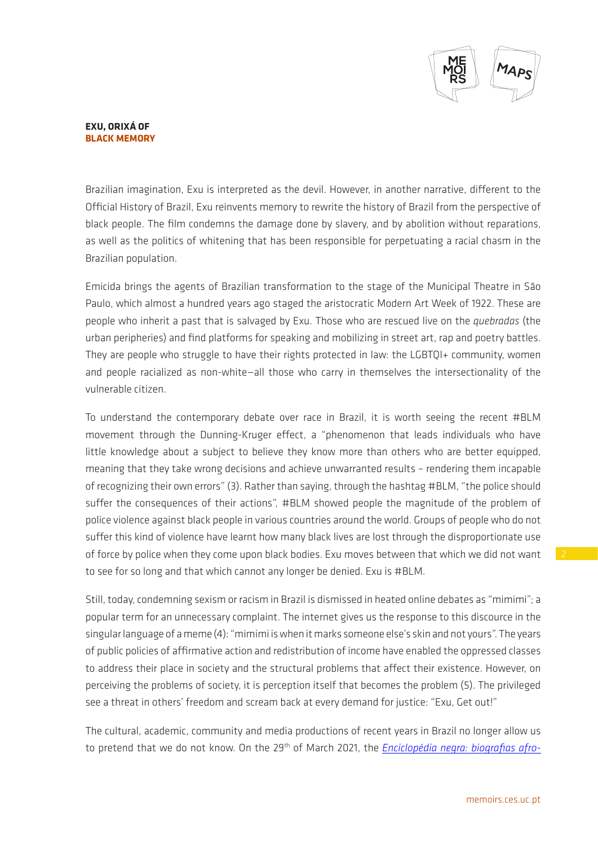

## **EXU, ORIXÁ OF BLACK MEMORY**

Brazilian imagination, Exu is interpreted as the devil. However, in another narrative, different to the Official History of Brazil, Exu reinvents memory to rewrite the history of Brazil from the perspective of black people. The film condemns the damage done by slavery, and by abolition without reparations, as well as the politics of whitening that has been responsible for perpetuating a racial chasm in the Brazilian population.

Emicida brings the agents of Brazilian transformation to the stage of the Municipal Theatre in São Paulo, which almost a hundred years ago staged the aristocratic Modern Art Week of 1922. These are people who inherit a past that is salvaged by Exu. Those who are rescued live on the *quebradas* (the urban peripheries) and find platforms for speaking and mobilizing in street art, rap and poetry battles. They are people who struggle to have their rights protected in law: the LGBTQI+ community, women and people racialized as non-white—all those who carry in themselves the intersectionality of the vulnerable citizen.

To understand the contemporary debate over race in Brazil, it is worth seeing the recent #BLM movement through the Dunning-Kruger effect, a "phenomenon that leads individuals who have little knowledge about a subject to believe they know more than others who are better equipped, meaning that they take wrong decisions and achieve unwarranted results – rendering them incapable of recognizing their own errors" (3). Rather than saying, through the hashtag #BLM, "the police should suffer the consequences of their actions", #BLM showed people the magnitude of the problem of police violence against black people in various countries around the world. Groups of people who do not suffer this kind of violence have learnt how many black lives are lost through the disproportionate use of force by police when they come upon black bodies. Exu moves between that which we did not want to see for so long and that which cannot any longer be denied. Exu is #BLM.

Still, today, condemning sexism or racism in Brazil is dismissed in heated online debates as "mimimi"; a popular term for an unnecessary complaint. The internet gives us the response to this discource in the singular language of a meme (4): "mimimi is when it marks someone else's skin and not yours". The years of public policies of affirmative action and redistribution of income have enabled the oppressed classes to address their place in society and the structural problems that affect their existence. However, on perceiving the problems of society, it is perception itself that becomes the problem (5). The privileged see a threat in others' freedom and scream back at every demand for justice: "Exu, Get out!"

The cultural, academic, community and media productions of recent years in Brazil no longer allow us to pretend that we do not know. On the 29<sup>th</sup> of March 2021, the *[Enciclopédia negra: biografias afro-](file:///Enciclopédia%20negra/%20biografias%20afro-brasileiras)*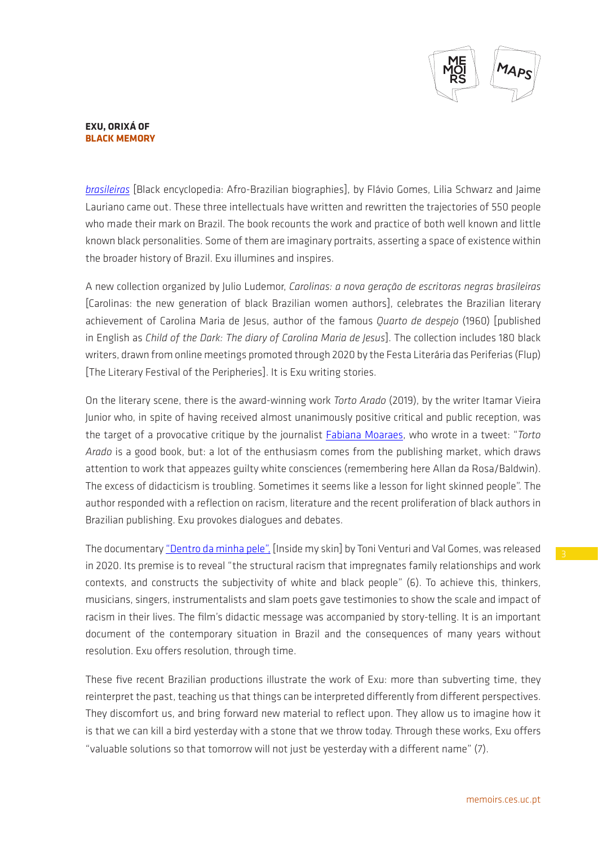

## **EXU, ORIXÁ OF BLACK MEMORY**

*[brasileiras](file:///Enciclopédia%20negra/%20biografias%20afro-brasileiras)* [Black encyclopedia: Afro-Brazilian biographies], by Flávio Gomes, Lilia Schwarz and Jaime Lauriano came out. These three intellectuals have written and rewritten the trajectories of 550 people who made their mark on Brazil. The book recounts the work and practice of both well known and little known black personalities. Some of them are imaginary portraits, asserting a space of existence within the broader history of Brazil. Exu illumines and inspires.

A new collection organized by Julio Ludemor, *Carolinas: a nova geração de escritoras negras brasileiras* [Carolinas: the new generation of black Brazilian women authors], celebrates the Brazilian literary achievement of Carolina Maria de Jesus, author of the famous *Quarto de despejo* (1960) [published in English as *Child of the Dark: The diary of Carolina Maria de Jesus*]. The collection includes 180 black writers, drawn from online meetings promoted through 2020 by the Festa Literária das Periferias (Flup) [The Literary Festival of the Peripheries]. It is Exu writing stories.

On the literary scene, there is the award-winning work *Torto Arado* (2019), by the writer Itamar Vieira Junior who, in spite of having received almost unanimously positive critical and public reception, was the target of a provocative critique by the journalist [Fabiana Moaraes](https://www.quatrocincoum.com.br/br/colunas/critica-cultural/os-ardis-da-unanimidade), who wrote in a tweet: "*Torto Arado* is a good book, but: a lot of the enthusiasm comes from the publishing market, which draws attention to work that appeazes guilty white consciences (remembering here Allan da Rosa/Baldwin). The excess of didacticism is troubling. Sometimes it seems like a lesson for light skinned people". The author responded with a reflection on racism, literature and the recent proliferation of black authors in Brazilian publishing. Exu provokes dialogues and debates.

The documentary ["Dentro da minha pele",](file:///Users/nsg/Documents/NSG_temp/MEMOIRS_temp/MEMOIRS_newsletter/MEMOIRS_newsletters/MAPS_MEMOIRS_newsletter_/MAPS_MEMOIRS_newsletter_133_FV/No%20cenário%20literário,%20temos%20ainda%20a%20obra%20galardoada%20%20Torto%20Arado%20(2019),%20do%20escritor%20Itamar%20Vieira%20Junior%20que,%20apesar%20de%20ter%20recebido%20uma%20recepção%20positiva%20quase%20que%20unanime%20da%20crítica%20e%20do%20público,%20foi%20alvo%20do%20difícil%20trabalho%20de%20crítica%20divergente%20da%20jornalista%20Fabiana%20Moraes%20,%20que%20escreveu%20em%20um%20Tweet:%20) [Inside my skin] by Toni Venturi and Val Gomes, was released in 2020. Its premise is to reveal "the structural racism that impregnates family relationships and work contexts, and constructs the subjectivity of white and black people" (6). To achieve this, thinkers, musicians, singers, instrumentalists and slam poets gave testimonies to show the scale and impact of racism in their lives. The film's didactic message was accompanied by story-telling. It is an important document of the contemporary situation in Brazil and the consequences of many years without resolution. Exu offers resolution, through time.

These five recent Brazilian productions illustrate the work of Exu: more than subverting time, they reinterpret the past, teaching us that things can be interpreted differently from different perspectives. They discomfort us, and bring forward new material to reflect upon. They allow us to imagine how it is that we can kill a bird yesterday with a stone that we throw today. Through these works, Exu offers "valuable solutions so that tomorrow will not just be yesterday with a different name" (7).

memoirs.ces.uc.pt